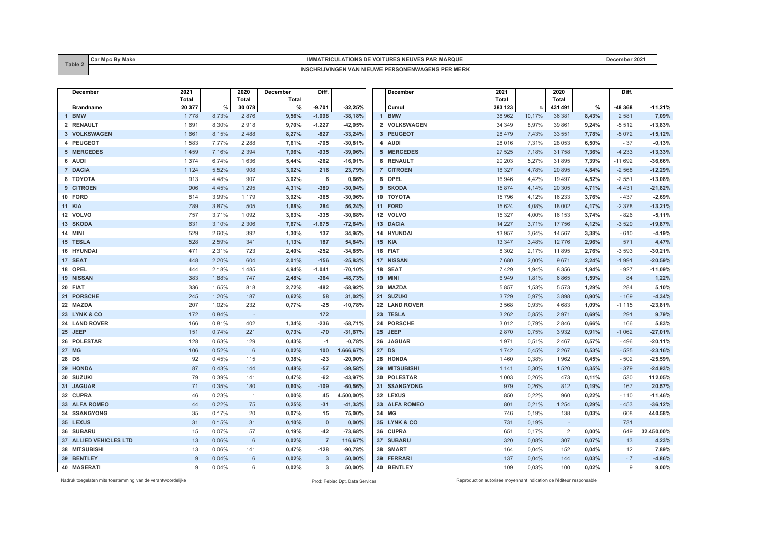| Table. | $-0.0 - 1$<br><u>va</u> | ARUUL<br>$\mathbf{v}$<br><b>KILII</b><br>המוטוו                                                      | -207 |
|--------|-------------------------|------------------------------------------------------------------------------------------------------|------|
|        |                         | INC<br><b>PER MERK</b><br><b>NIFUWF</b><br>$\mathbf{v}$<br>D.<br>$T_{\text{A}}$<br><b>VIIVLT</b><br> |      |

| December               | 2021         |       | 2020                     | <b>December</b> | Diff.                   |           | <b>December</b>              | 2021         |        | 2020    |               | Diff.    |            |
|------------------------|--------------|-------|--------------------------|-----------------|-------------------------|-----------|------------------------------|--------------|--------|---------|---------------|----------|------------|
|                        | <b>Total</b> |       | <b>Total</b>             | <b>Total</b>    |                         |           |                              | <b>Total</b> |        | Total   |               |          |            |
| <b>Brandname</b>       | 20 377       | $\%$  | 30 078                   | %               | 9.701                   | 32,25%    | Cumul                        | 383 123      | $\%$   | 431 491 | $\frac{9}{6}$ | -48 368  | $-11,21%$  |
| 1 BMW                  | 1778         | 8,73% | 2876                     | 9,56%           | $-1.098$                | $-38,18%$ | $\overline{1}$<br><b>BMW</b> | 38 962       | 10,17% | 36 381  | 8,43%         | 2 5 8 1  | 7,09%      |
| 2 RENAULT              | 1691         | 8,30% | 2918                     | 9,70%           | $-1.227$                | $-42,05%$ | 2 VOLKSWAGEN                 | 34 34 9      | 8,97%  | 39 861  | 9,24%         | $-5512$  | $-13,83%$  |
| 3 VOLKSWAGEN           | 1661         | 8,15% | 2488                     | 8,27%           | $-827$                  | $-33,24%$ | 3 PEUGEOT                    | 28 4 7 9     | 7,43%  | 33 551  | 7,78%         | $-5072$  | $-15,12%$  |
| 4 PEUGEOT              | 1583         | 7,77% | 2 2 8 8                  | 7,61%           | $-705$                  | $-30,81%$ | 4 AUDI                       | 28 016       | 7,31%  | 28 053  | 6,50%         | $-37$    | $-0,13%$   |
| 5 MERCEDES             | 1 4 5 9      | 7,16% | 2 3 9 4                  | 7,96%           | $-935$                  | $-39,06%$ | 5 MERCEDES                   | 27 5 25      | 7,18%  | 31758   | 7,36%         | $-4233$  | $-13,33%$  |
| 6 AUDI                 | 1 3 7 4      | 6,74% | 1636                     | 5,44%           | $-262$                  | $-16,01%$ | 6 RENAULT                    | 20 20 3      | 5,27%  | 31 895  | 7,39%         | $-11692$ | $-36,66%$  |
| 7 DACIA                | 1 1 2 4      | 5,52% | 908                      | 3,02%           | 216                     | 23,79%    | 7 CITROEN                    | 18 3 27      | 4,78%  | 20 895  | 4,84%         | $-2568$  | $-12,29%$  |
| 8 TOYOTA               | 913          | 4,48% | 907                      | 3,02%           | 6                       | 0,66%     | 8 OPEL                       | 16 946       | 4,42%  | 19 497  | 4,52%         | $-2551$  | $-13,08%$  |
| 9 CITROEN              | 906          | 4,45% | 1 2 9 5                  | 4,31%           | $-389$                  | $-30,04%$ | 9 SKODA                      | 15 874       | 4,14%  | 20 30 5 | 4,71%         | $-4431$  | $-21,82%$  |
| 10 FORD                | 814          | 3.99% | 1 1 7 9                  | 3,92%           | $-365$                  | $-30,96%$ | 10 TOYOTA                    | 15 796       | 4,12%  | 16 233  | 3,76%         | $-437$   | $-2,69%$   |
| <b>11 KIA</b>          | 789          | 3,87% | 505                      | 1,68%           | 284                     | 56,24%    | 11 FORD                      | 15 6 24      | 4,08%  | 18 002  | 4,17%         | $-2378$  | $-13,21%$  |
| 12 VOLVO               | 757          | 3,71% | 1 0 9 2                  | 3,63%           | $-335$                  | $-30,68%$ | 12 VOLVO                     | 15 3 27      | 4,00%  | 16 153  | 3,74%         | $-826$   | $-5,11%$   |
| 13 SKODA               | 631          | 3,10% | 2 3 0 6                  | 7,67%           | $-1.675$                | $-72,64%$ | 13 DACIA                     | 14 227       | 3,71%  | 17 756  | 4,12%         | $-3529$  | $-19,87%$  |
| 14 MINI                | 529          | 2,60% | 392                      | 1,30%           | 137                     | 34,95%    | 14 HYUNDAI                   | 13 957       | 3,64%  | 14 567  | 3,38%         | $-610$   | $-4,19%$   |
| 15 TESLA               | 528          | 2,59% | 341                      | 1,13%           | 187                     | 54,84%    | <b>15 KIA</b>                | 13 3 4 7     | 3,48%  | 12776   | 2,96%         | 571      | 4,47%      |
| 16 HYUNDAI             | 471          | 2,31% | 723                      | 2,40%           | $-252$                  | $-34,85%$ | 16 FIAT                      | 8 3 0 2      | 2,17%  | 11895   | 2,76%         | $-3593$  | $-30,21%$  |
| 17 SEAT                | 448          | 2.20% | 604                      | 2,01%           | $-156$                  | $-25,83%$ | 17 NISSAN                    | 7680         | 2,00%  | 9671    | 2,24%         | $-1991$  | $-20,59%$  |
| 18 OPEL                | 444          | 2,18% | 1485                     | 4,94%           | -1.041                  | $-70,10%$ | 18 SEAT                      | 7429         | 1,94%  | 8 3 5 6 | 1,94%         | $-927$   | $-11,09%$  |
| 19 NISSAN              | 383          | 1,88% | 747                      | 2,48%           | $-364$                  | $-48,73%$ | 19 MINI                      | 6949         | 1,81%  | 6865    | 1,59%         | 84       | 1,22%      |
| 20 FIAT                | 336          | 1,65% | 818                      | 2,72%           | $-482$                  | $-58,92%$ | 20 MAZDA                     | 5 8 5 7      | 1,53%  | 5 5 7 3 | 1,29%         | 284      | 5,10%      |
| 21 PORSCHE             | 245          | 1,20% | 187                      | 0,62%           | 58                      | 31,02%    | 21 SUZUKI                    | 3729         | 0,97%  | 3898    | 0,90%         | $-169$   | $-4,34%$   |
| 22 MAZDA               | 207          | 1,02% | 232                      | 0,77%           | $-25$                   | $-10,78%$ | 22 LAND ROVER                | 3 5 6 8      | 0,93%  | 4 6 8 3 | 1,09%         | $-1115$  | $-23,81%$  |
| 23 LYNK & CO           | 172          | 0,84% | $\overline{\phantom{a}}$ |                 | 172                     |           | 23 TESLA                     | 3 2 6 2      | 0,85%  | 2971    | 0,69%         | 291      | 9,79%      |
| 24 LAND ROVER          | 166          | 0,81% | 402                      | 1,34%           | $-236$                  | $-58,71%$ | 24 PORSCHE                   | 3012         | 0,79%  | 2 8 4 6 | 0,66%         | 166      | 5,83%      |
| 25 JEEP                | 151          | 0,74% | 221                      | 0,73%           | $-70$                   | $-31,67%$ | 25 JEEP                      | 2870         | 0,75%  | 3 9 3 2 | 0,91%         | $-1062$  | $-27,01%$  |
| 26 POLESTAR            | 128          | 0,63% | 129                      | 0,43%           | $-1$                    | $-0,78%$  | 26 JAGUAR                    | 1971         | 0,51%  | 2 4 6 7 | 0,57%         | $-496$   | $-20,11%$  |
| 27 MG                  | 106          | 0.52% | 6                        | 0,02%           | 100                     | 1.666,67% | 27 DS                        | 1742         | 0,45%  | 2 2 6 7 | 0,53%         | $-525$   | $-23,16%$  |
| 28 DS                  | 92           | 0,45% | 115                      | 0,38%           | $-23$                   | $-20,00%$ | 28 HONDA                     | 1460         | 0,38%  | 1962    | 0,45%         | $-502$   | $-25,59%$  |
| 29 HONDA               | 87           | 0.43% | 144                      | 0,48%           | $-57$                   | $-39,58%$ | 29 MITSUBISHI                | 1 1 4 1      | 0,30%  | 1520    | 0,35%         | $-379$   | $-24,93%$  |
| 30 SUZUKI              | 79           | 0,39% | 141                      | 0,47%           | $-62$                   | $-43,97%$ | 30 POLESTAR                  | 1 0 0 3      | 0,26%  | 473     | 0,11%         | 530      | 112,05%    |
| 31 JAGUAR              | 71           | 0,35% | 180                      | 0,60%           | $-109$                  | $-60,56%$ | 31 SSANGYONG                 | 979          | 0,26%  | 812     | 0,19%         | 167      | 20,57%     |
| 32 CUPRA               | 46           | 0,23% | $\overline{1}$           | 0,00%           | 45                      | 4.500,00% | 32 LEXUS                     | 850          | 0,22%  | 960     | 0,22%         | $-110$   | $-11,46%$  |
| 33 ALFA ROMEO          | 44           | 0,22% | 75                       | 0,25%           | $-31$                   | $-41,33%$ | 33 ALFA ROMEO                | 801          | 0,21%  | 1 2 5 4 | 0,29%         | $-453$   | $-36,12%$  |
| 34 SSANGYONG           | 35           | 0.17% | 20                       | 0,07%           | 15                      | 75,00%    | 34 MG                        | 746          | 0,19%  | 138     | 0,03%         | 608      | 440,58%    |
| 35 LEXUS               | 31           | 0,15% | 31                       | 0,10%           | $\mathbf 0$             | 0,00%     | 35 LYNK & CO                 | 731          | 0,19%  |         |               | 731      |            |
| 36 SUBARU              | 15           | 0,07% | 57                       | 0,19%           | $-42$                   | $-73,68%$ | 36 CUPRA                     | 651          | 0,17%  | 2       | 0,00%         | 649      | 32.450,00% |
| 37 ALLIED VEHICLES LTD | 13           | 0,06% | 6                        | 0,02%           | $\overline{7}$          | 116,67%   | 37 SUBARU                    | 320          | 0,08%  | 307     | 0,07%         | 13       | 4,23%      |
| 38 MITSUBISHI          | 13           | 0,06% | 141                      | 0,47%           | $-128$                  | $-90,78%$ | 38 SMART                     | 164          | 0,04%  | 152     | 0,04%         | 12       | 7,89%      |
| 39 BENTLEY             | 9            | 0.04% | 6                        | 0,02%           | $\overline{\mathbf{3}}$ | 50,00%    | 39 FERRARI                   | 137          | 0,04%  | 144     | 0,03%         | $-7$     | $-4,86%$   |
| <b>40 MASERATI</b>     | 9            | 0.04% | 6                        | 0,02%           | 3                       | 50,00%    | 40 BENTLEY                   | 109          | 0.03%  | 100     | 0.02%         | 9        | 9,00%      |

Nadruk toegelaten mits toestemming van de verantwoordelijke Prod: Febiac Dpt. Data Services Reproduction autorisée moyennant indication de l'éditeur responsable